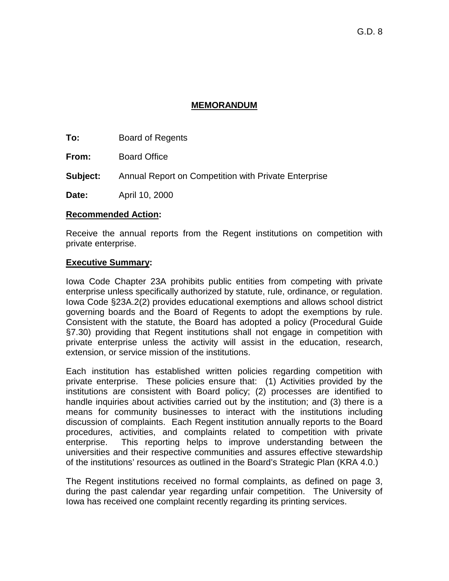## **MEMORANDUM**

**To:** Board of Regents

**From:** Board Office

**Subject:** Annual Report on Competition with Private Enterprise

**Date:** April 10, 2000

#### **Recommended Action:**

Receive the annual reports from the Regent institutions on competition with private enterprise.

## **Executive Summary:**

Iowa Code Chapter 23A prohibits public entities from competing with private enterprise unless specifically authorized by statute, rule, ordinance, or regulation. Iowa Code §23A.2(2) provides educational exemptions and allows school district governing boards and the Board of Regents to adopt the exemptions by rule. Consistent with the statute, the Board has adopted a policy (Procedural Guide §7.30) providing that Regent institutions shall not engage in competition with private enterprise unless the activity will assist in the education, research, extension, or service mission of the institutions.

Each institution has established written policies regarding competition with private enterprise. These policies ensure that: (1) Activities provided by the institutions are consistent with Board policy; (2) processes are identified to handle inquiries about activities carried out by the institution; and (3) there is a means for community businesses to interact with the institutions including discussion of complaints. Each Regent institution annually reports to the Board procedures, activities, and complaints related to competition with private enterprise. This reporting helps to improve understanding between the universities and their respective communities and assures effective stewardship of the institutions' resources as outlined in the Board's Strategic Plan (KRA 4.0.)

The Regent institutions received no formal complaints, as defined on page 3, during the past calendar year regarding unfair competition. The University of Iowa has received one complaint recently regarding its printing services.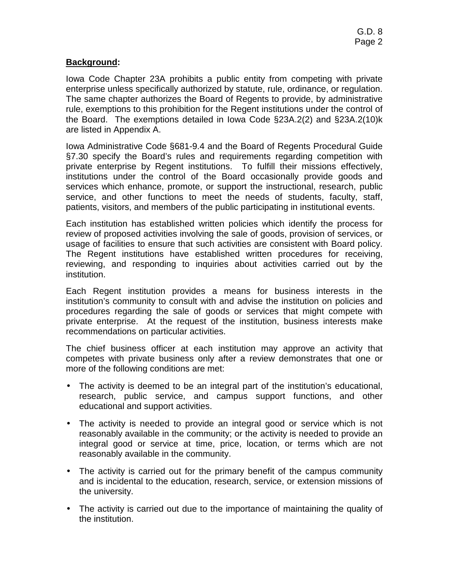# **Background:**

Iowa Code Chapter 23A prohibits a public entity from competing with private enterprise unless specifically authorized by statute, rule, ordinance, or regulation. The same chapter authorizes the Board of Regents to provide, by administrative rule, exemptions to this prohibition for the Regent institutions under the control of the Board. The exemptions detailed in Iowa Code §23A.2(2) and §23A.2(10)k are listed in Appendix A.

Iowa Administrative Code §681-9.4 and the Board of Regents Procedural Guide §7.30 specify the Board's rules and requirements regarding competition with private enterprise by Regent institutions. To fulfill their missions effectively, institutions under the control of the Board occasionally provide goods and services which enhance, promote, or support the instructional, research, public service, and other functions to meet the needs of students, faculty, staff, patients, visitors, and members of the public participating in institutional events.

Each institution has established written policies which identify the process for review of proposed activities involving the sale of goods, provision of services, or usage of facilities to ensure that such activities are consistent with Board policy. The Regent institutions have established written procedures for receiving, reviewing, and responding to inquiries about activities carried out by the institution.

Each Regent institution provides a means for business interests in the institution's community to consult with and advise the institution on policies and procedures regarding the sale of goods or services that might compete with private enterprise. At the request of the institution, business interests make recommendations on particular activities.

The chief business officer at each institution may approve an activity that competes with private business only after a review demonstrates that one or more of the following conditions are met:

- The activity is deemed to be an integral part of the institution's educational, research, public service, and campus support functions, and other educational and support activities.
- The activity is needed to provide an integral good or service which is not reasonably available in the community; or the activity is needed to provide an integral good or service at time, price, location, or terms which are not reasonably available in the community.
- The activity is carried out for the primary benefit of the campus community and is incidental to the education, research, service, or extension missions of the university.
- The activity is carried out due to the importance of maintaining the quality of the institution.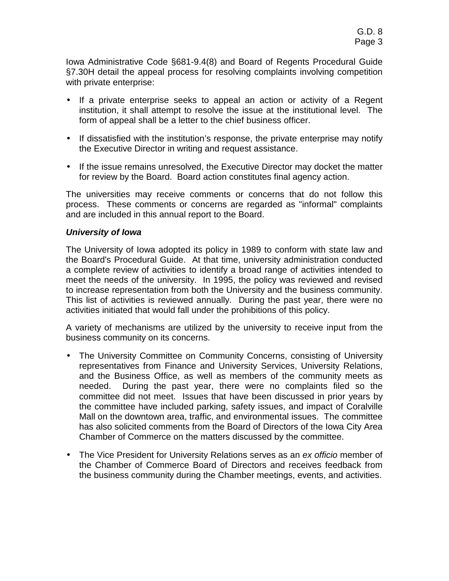Iowa Administrative Code §681-9.4(8) and Board of Regents Procedural Guide §7.30H detail the appeal process for resolving complaints involving competition with private enterprise:

- If a private enterprise seeks to appeal an action or activity of a Regent institution, it shall attempt to resolve the issue at the institutional level. The form of appeal shall be a letter to the chief business officer.
- If dissatisfied with the institution's response, the private enterprise may notify the Executive Director in writing and request assistance.
- If the issue remains unresolved, the Executive Director may docket the matter for review by the Board. Board action constitutes final agency action.

The universities may receive comments or concerns that do not follow this process. These comments or concerns are regarded as "informal" complaints and are included in this annual report to the Board.

#### *University of Iowa*

The University of Iowa adopted its policy in 1989 to conform with state law and the Board's Procedural Guide. At that time, university administration conducted a complete review of activities to identify a broad range of activities intended to meet the needs of the university. In 1995, the policy was reviewed and revised to increase representation from both the University and the business community. This list of activities is reviewed annually. During the past year, there were no activities initiated that would fall under the prohibitions of this policy.

A variety of mechanisms are utilized by the university to receive input from the business community on its concerns.

- The University Committee on Community Concerns, consisting of University representatives from Finance and University Services, University Relations, and the Business Office, as well as members of the community meets as needed. During the past year, there were no complaints filed so the committee did not meet. Issues that have been discussed in prior years by the committee have included parking, safety issues, and impact of Coralville Mall on the downtown area, traffic, and environmental issues. The committee has also solicited comments from the Board of Directors of the Iowa City Area Chamber of Commerce on the matters discussed by the committee.
- The Vice President for University Relations serves as an *ex officio* member of the Chamber of Commerce Board of Directors and receives feedback from the business community during the Chamber meetings, events, and activities.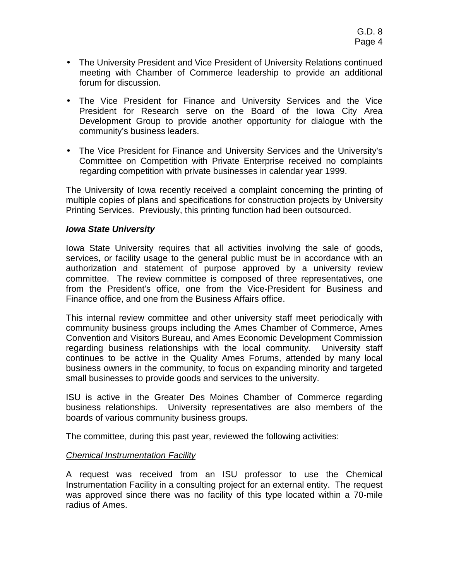- The University President and Vice President of University Relations continued meeting with Chamber of Commerce leadership to provide an additional forum for discussion.
- The Vice President for Finance and University Services and the Vice President for Research serve on the Board of the Iowa City Area Development Group to provide another opportunity for dialogue with the community's business leaders.
- The Vice President for Finance and University Services and the University's Committee on Competition with Private Enterprise received no complaints regarding competition with private businesses in calendar year 1999.

The University of Iowa recently received a complaint concerning the printing of multiple copies of plans and specifications for construction projects by University Printing Services. Previously, this printing function had been outsourced.

#### *Iowa State University*

Iowa State University requires that all activities involving the sale of goods, services, or facility usage to the general public must be in accordance with an authorization and statement of purpose approved by a university review committee. The review committee is composed of three representatives, one from the President's office, one from the Vice-President for Business and Finance office, and one from the Business Affairs office.

This internal review committee and other university staff meet periodically with community business groups including the Ames Chamber of Commerce, Ames Convention and Visitors Bureau, and Ames Economic Development Commission regarding business relationships with the local community. University staff continues to be active in the Quality Ames Forums, attended by many local business owners in the community, to focus on expanding minority and targeted small businesses to provide goods and services to the university.

ISU is active in the Greater Des Moines Chamber of Commerce regarding business relationships. University representatives are also members of the boards of various community business groups.

The committee, during this past year, reviewed the following activities:

## *Chemical Instrumentation Facility*

A request was received from an ISU professor to use the Chemical Instrumentation Facility in a consulting project for an external entity. The request was approved since there was no facility of this type located within a 70-mile radius of Ames.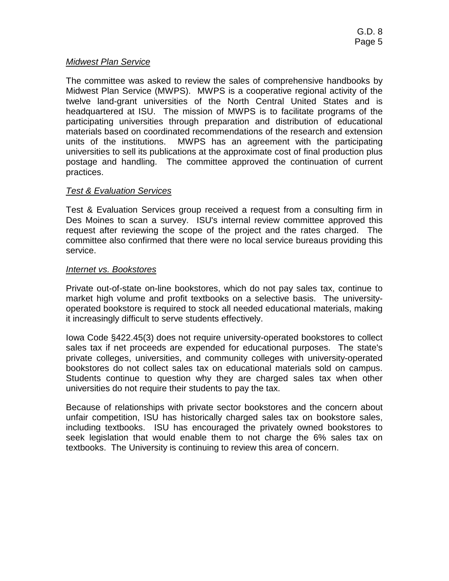## *Midwest Plan Service*

The committee was asked to review the sales of comprehensive handbooks by Midwest Plan Service (MWPS). MWPS is a cooperative regional activity of the twelve land-grant universities of the North Central United States and is headquartered at ISU. The mission of MWPS is to facilitate programs of the participating universities through preparation and distribution of educational materials based on coordinated recommendations of the research and extension units of the institutions. MWPS has an agreement with the participating universities to sell its publications at the approximate cost of final production plus postage and handling. The committee approved the continuation of current practices.

## *Test & Evaluation Services*

Test & Evaluation Services group received a request from a consulting firm in Des Moines to scan a survey. ISU's internal review committee approved this request after reviewing the scope of the project and the rates charged. The committee also confirmed that there were no local service bureaus providing this service.

## *Internet vs. Bookstores*

Private out-of-state on-line bookstores, which do not pay sales tax, continue to market high volume and profit textbooks on a selective basis. The universityoperated bookstore is required to stock all needed educational materials, making it increasingly difficult to serve students effectively.

Iowa Code §422.45(3) does not require university-operated bookstores to collect sales tax if net proceeds are expended for educational purposes. The state's private colleges, universities, and community colleges with university-operated bookstores do not collect sales tax on educational materials sold on campus. Students continue to question why they are charged sales tax when other universities do not require their students to pay the tax.

Because of relationships with private sector bookstores and the concern about unfair competition, ISU has historically charged sales tax on bookstore sales, including textbooks. ISU has encouraged the privately owned bookstores to seek legislation that would enable them to not charge the 6% sales tax on textbooks. The University is continuing to review this area of concern.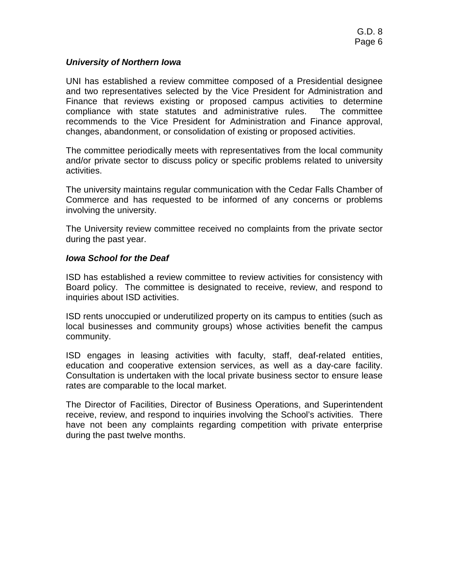#### *University of Northern Iowa*

UNI has established a review committee composed of a Presidential designee and two representatives selected by the Vice President for Administration and Finance that reviews existing or proposed campus activities to determine compliance with state statutes and administrative rules. The committee recommends to the Vice President for Administration and Finance approval, changes, abandonment, or consolidation of existing or proposed activities.

The committee periodically meets with representatives from the local community and/or private sector to discuss policy or specific problems related to university activities.

The university maintains regular communication with the Cedar Falls Chamber of Commerce and has requested to be informed of any concerns or problems involving the university.

The University review committee received no complaints from the private sector during the past year.

#### *Iowa School for the Deaf*

ISD has established a review committee to review activities for consistency with Board policy. The committee is designated to receive, review, and respond to inquiries about ISD activities.

ISD rents unoccupied or underutilized property on its campus to entities (such as local businesses and community groups) whose activities benefit the campus community.

ISD engages in leasing activities with faculty, staff, deaf-related entities, education and cooperative extension services, as well as a day-care facility. Consultation is undertaken with the local private business sector to ensure lease rates are comparable to the local market.

The Director of Facilities, Director of Business Operations, and Superintendent receive, review, and respond to inquiries involving the School's activities. There have not been any complaints regarding competition with private enterprise during the past twelve months.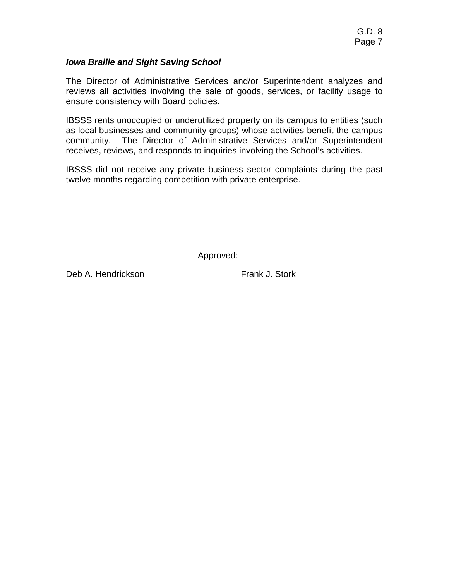## *Iowa Braille and Sight Saving School*

The Director of Administrative Services and/or Superintendent analyzes and reviews all activities involving the sale of goods, services, or facility usage to ensure consistency with Board policies.

IBSSS rents unoccupied or underutilized property on its campus to entities (such as local businesses and community groups) whose activities benefit the campus community. The Director of Administrative Services and/or Superintendent receives, reviews, and responds to inquiries involving the School's activities.

IBSSS did not receive any private business sector complaints during the past twelve months regarding competition with private enterprise.

\_\_\_\_\_\_\_\_\_\_\_\_\_\_\_\_\_\_\_\_\_\_\_\_\_ Approved: \_\_\_\_\_\_\_\_\_\_\_\_\_\_\_\_\_\_\_\_\_\_\_\_\_\_

Deb A. Hendrickson **Frank J. Stork**